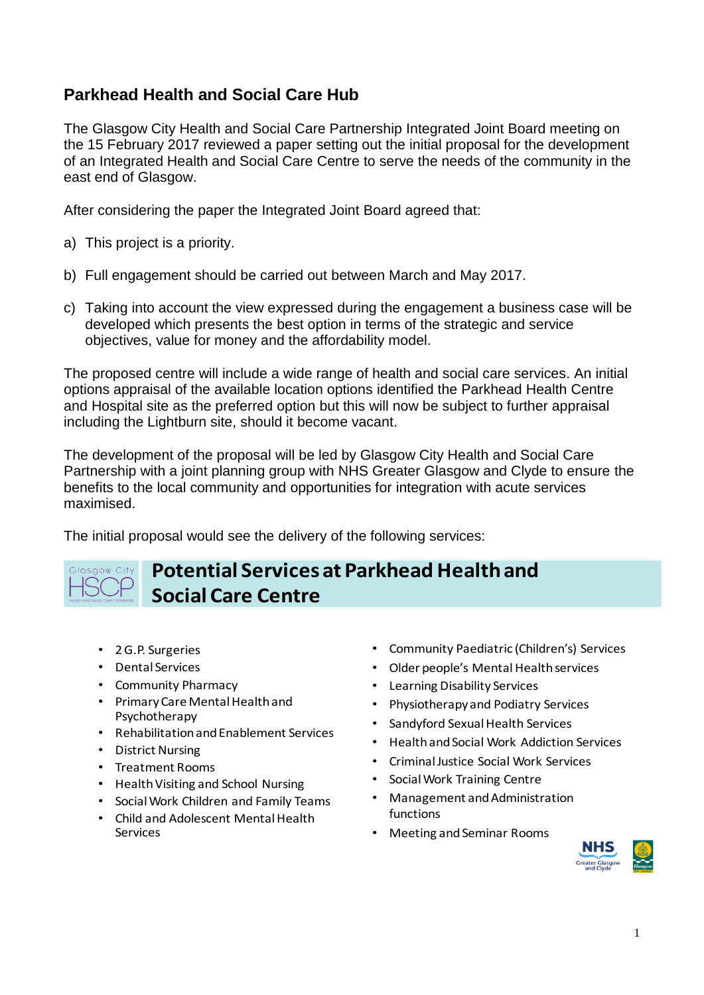## **Parkhead Health and Social Care Hub**

The Glasgow City Health and Social Care Partnership Integrated Joint Board meeting on the 15 February 2017 reviewed a paper setting out the initial proposal for the development of an Integrated Health and Social Care Centre to serve the needs of the community in the east end of Glasgow.

After considering the paper the Integrated Joint Board agreed that:

- a) This project is a priority.
- b) Full engagement should be carried out between March and May 2017.
- c) Taking into account the view expressed during the engagement a business case will be developed which presents the best option in terms of the strategic and service objectives, value for money and the affordability model.

The proposed centre will include a wide range of health and social care services. An initial options appraisal of the available location options identified the Parkhead Health Centre and Hospital site as the preferred option but this will now be subject to further appraisal including the Lightburn site, should it become vacant.

The development of the proposal will be led by Glasgow City Health and Social Care Partnership with a joint planning group with NHS Greater Glasgow and Clyde to ensure the benefits to the local community and opportunities for integration with acute services maximised.

The initial proposal would see the delivery of the following services:

## **Potential Services at Parkhead Health and** Glasgow City **Social Care Centre**

- 2 G.P. Surgeries
- Dental Services
- Community Pharmacy
- Primary Care Mental Health and Psychotherapy
- Rehabilitation and Enablement Services
- District Nursing
- Treatment Rooms
- Health Visiting and School Nursing
- Social Work Children and Family Teams
- Child and Adolescent Mental Health Services
- Community Paediatric (Children's) Services
- Older people's Mental Health services
- Learning Disability Services
- Physiotherapy and Podiatry Services
- Sandyford Sexual Health Services
- Health and Social Work Addiction Services
- Criminal Justice Social Work Services
- Social Work Training Centre
- Management and Administration functions
- Meeting and Seminar Rooms